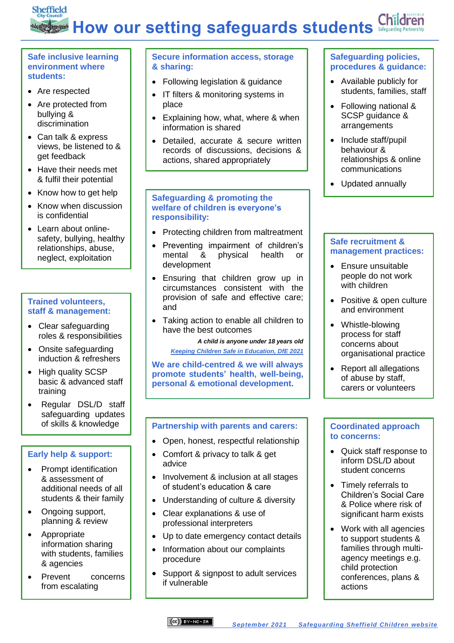# Sheffield How our setting safeguards students Safeguards

#### **Safe inclusive learning environment where students:**

- Are respected
- Are protected from bullying & discrimination
- Can talk & express views, be listened to & get feedback
- Have their needs met & fulfil their potential
- Know how to get help
- Know when discussion is confidential
- Learn about onlinesafety, bullying, healthy relationships, abuse, neglect, exploitation

#### **Trained volunteers, staff & management:**

- Clear safeguarding roles & responsibilities
- Onsite safeguarding induction & refreshers
- High quality SCSP basic & advanced staff training
- Regular DSL/D staff safeguarding updates of skills & knowledge

#### **Early help & support:**

- Prompt identification & assessment of additional needs of all students & their family
- Ongoing support, planning & review
- Appropriate information sharing with students, families & agencies
- Prevent concerns from escalating

#### **Secure information access, storage & sharing:**

- Following legislation & guidance
- IT filters & monitoring systems in place
- Explaining how, what, where & when information is shared
- Detailed, accurate & secure written records of discussions, decisions & actions, shared appropriately

#### **Safeguarding & promoting the welfare of children is everyone's responsibility:**

- Protecting children from maltreatment
- Preventing impairment of children's mental & physical health or development
- Ensuring that children grow up in circumstances consistent with the provision of safe and effective care; and
- Taking action to enable all children to have the best outcomes

#### *A child is anyone under 18 years old*

*[Keeping Children Safe in Education, DfE 2021](https://assets.publishing.service.gov.uk/government/uploads/system/uploads/attachment_data/file/1007260/Keeping_children_safe_in_education_2021.pdf)*

**We are child-centred & we will always promote students' health, well-being, personal & emotional development.**

#### **Partnership with parents and carers:**

- Open, honest, respectful relationship
- Comfort & privacy to talk & get advice
- Involvement & inclusion at all stages of student's education & care
- Understanding of culture & diversity
- Clear explanations & use of professional interpreters
- Up to date emergency contact details
- Information about our complaints procedure
- Support & signpost to adult services if vulnerable

### **Safeguarding policies, procedures & guidance:**

- Available publicly for students, families, staff
- Following national & SCSP guidance & arrangements
- Include staff/pupil behaviour & relationships & online communications
- Updated annually

#### **Safe recruitment & management practices:**

- Ensure unsuitable people do not work with children
- Positive & open culture and environment
- Whistle-blowing process for staff concerns about organisational practice
- Report all allegations of abuse by staff, carers or volunteers

#### **Coordinated approach to concerns:**

- Quick staff response to inform DSL/D about student concerns
- Timely referrals to Children's Social Care & Police where risk of significant harm exists
- Work with all agencies to support students & families through multiagency meetings e.g. child protection conferences, plans & actions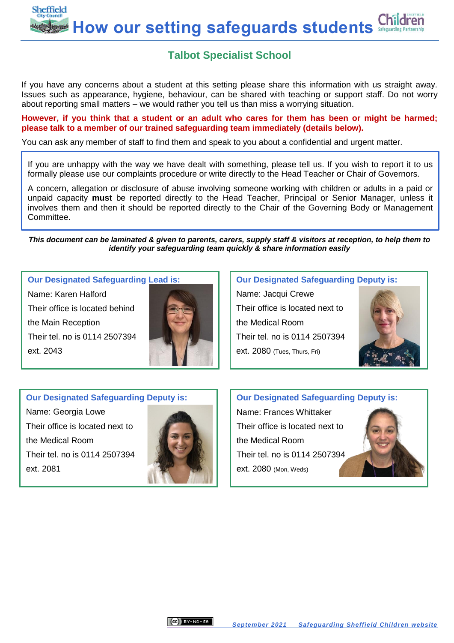Sheffield **How our setting safeguards students**

## **Talbot Specialist School**

If you have any concerns about a student at this setting please share this information with us straight away. Issues such as appearance, hygiene, behaviour, can be shared with teaching or support staff. Do not worry about reporting small matters – we would rather you tell us than miss a worrying situation.

**However, if you think that a student or an adult who cares for them has been or might be harmed; please talk to a member of our trained safeguarding team immediately (details below).** 

You can ask any member of staff to find them and speak to you about a confidential and urgent matter.

If you are unhappy with the way we have dealt with something, please tell us. If you wish to report it to us formally please use our complaints procedure or write directly to the Head Teacher or Chair of Governors.

A concern, allegation or disclosure of abuse involving someone working with children or adults in a paid or unpaid capacity **must** be reported directly to the Head Teacher, Principal or Senior Manager, unless it involves them and then it should be reported directly to the Chair of the Governing Body or Management Committee.

*This document can be laminated & given to parents, carers, supply staff & visitors at reception, to help them to identify your safeguarding team quickly & share information easily*

#### **Our Designated Safeguarding Lead is:**

Name: Karen Halford Their office is located behind the Main Reception Their tel. no is 0114 2507394 ext. 2043



#### **Our Designated Safeguarding Deputy is:**

Name: Jacqui Crewe Their office is located next to the Medical Room Their tel. no is 0114 2507394 ext. 2080 (Tues, Thurs, Fri)



#### **Our Designated Safeguarding Deputy is:**

Name: Georgia Lowe Their office is located next to the Medical Room Their tel. no is 0114 2507394 ext. 2081



**Our Designated Safeguarding Deputy is:**

Name: Frances Whittaker Their office is located next to the Medical Room Their tel. no is 0114 2507394 ext. 2080 (Mon, Weds)